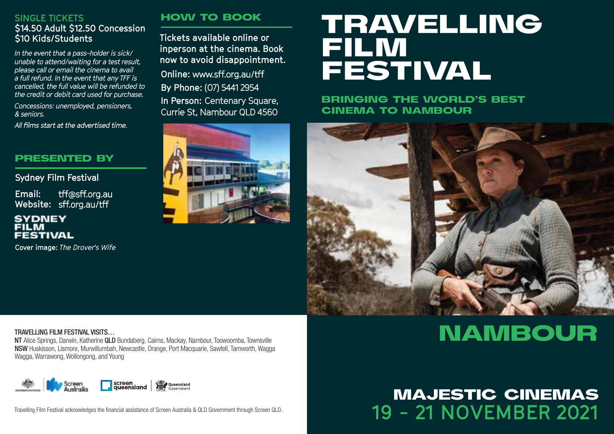#### **SINGLE TICKETS \$14.50 Adult \$12.50 Concession \$10 Kids/Students**

*In the event that a pass-holder is sick/ unable to attend/waiting for a test result, please call or email the cinema to avail a full refund. In the event that any TFF is cancelled, the full value will be refunded to the credit or debit card used for purchase.*

*Concessions: unemployed, pensioners, & seniors.*

All films start at the advertised time.

#### PRESENTED BY

**Sydney Film Festival**

tff@sff.org.au **Email:** Website: sff.org.au/tff

#### **SYDNEY FILM FESTIVAL**

**Cover image:** *The Drover's Wife*

#### HOW TO BOOK

**Tickets available online or inperson at the cinema. Book now to avoid disappointment.** 

**Online: By Phone:** (07) 5441 2954

**In Person: Centenary Square,** Currie St, Nambour QLD 4560



# **TRAVELLING FILM FESTIVAL**

BRINGING THE WORLD'S BEST CINEMA TO NAMBOUR



#### TRAVELLING FILM FESTIVAL VISITS…

NT Alice Springs, Darwin, Katherine QLD Bundaberg, Cairns, Mackay, Nambour, Toowoomba, Townsville NSW Huskisson, Lismore, Murwillumbah, Newcastle, Orange, Port Macquarie, Sawtell, Tamworth, Wagga Wagga, Warrawong, Wollongong, and Young



Travelling Film Festival acknowledges the financial assistance of Screen Australia & QLD Government through Screen QLD.

# **NAMBOUR**

# **19 - 21 NOVEMBER 2021** MAJESTIC CINEMAS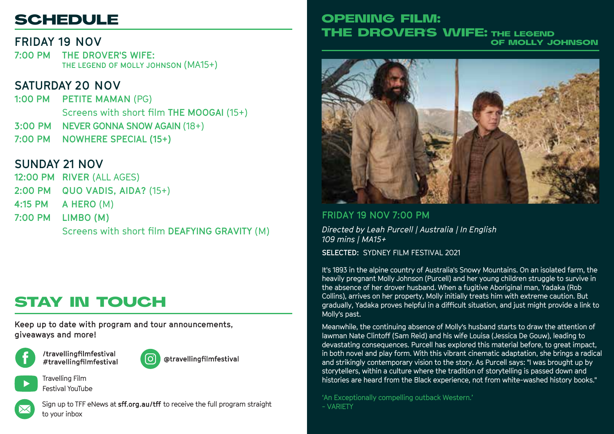# **SCHEDULE**

# **FRIDAY 19 NOV**

**7:00 PM THE DROVER'S WIFE: THE LEGEND OF MOLLY JOHNSON** (MA15+)

# **SATURDAY 20 NOV**

**1:00 PM PETITE MAMAN** (PG) **3:00 PM NEVER GONNA SNOW AGAIN** (18+) **7:00 PM NOWHERE SPECIAL (15+)** Screens with short film **THE MOOGAI** (15+)

# **SUNDAY 21 NOV**

**12:00 PM RIVER** (ALL AGES) **2:00 PM QUO VADIS, AIDA?** (15+) **4:15 PM A HERO** (M) **7:00 PM LIMBO (M)** Screens with short film **DEAFYING GRAVITY** (M)

# STAY IN TOUCH

**Keep up to date with program and tour announcements, giveaways and more!**





@travellingfilmfestival



Travelling Film Festival YouTube



Sign up to TFF eNews at sff.org.au/tff to receive the full program straight to your inbox

### OPENING FILM: THE DROVER'S WIFE: THE LEGEND OF MOLLY JOHNSON



#### **FRIDAY 19 NOV 7:00 PM**

*Directed by Leah Purcell | Australia | In English 109 mins | MA15+* **SELECTED:** SYDNEY FILM FESTIVAL 2021

It's 1893 in the alpine country of Australia's Snowy Mountains. On an isolated farm, the heavily pregnant Molly Johnson (Purcell) and her young children struggle to survive in the absence of her drover husband. When a fugitive Aboriginal man, Yadaka (Rob Collins), arrives on her property, Molly initially treats him with extreme caution. But gradually, Yadaka proves helpful in a difficult situation, and just might provide a link to Molly's past.

Meanwhile, the continuing absence of Molly's husband starts to draw the attention of lawman Nate Clintoff (Sam Reid) and his wife Louisa (Jessica De Gouw), leading to devastating consequences. Purcell has explored this material before, to great impact, in both novel and play form. With this vibrant cinematic adaptation, she brings a radical and strikingly contemporary vision to the story. As Purcell says: "I was brought up by storytellers, within a culture where the tradition of storytelling is passed down and histories are heard from the Black experience, not from white-washed history books."

'An Exceptionally compelling outback Western.' - VARIETY